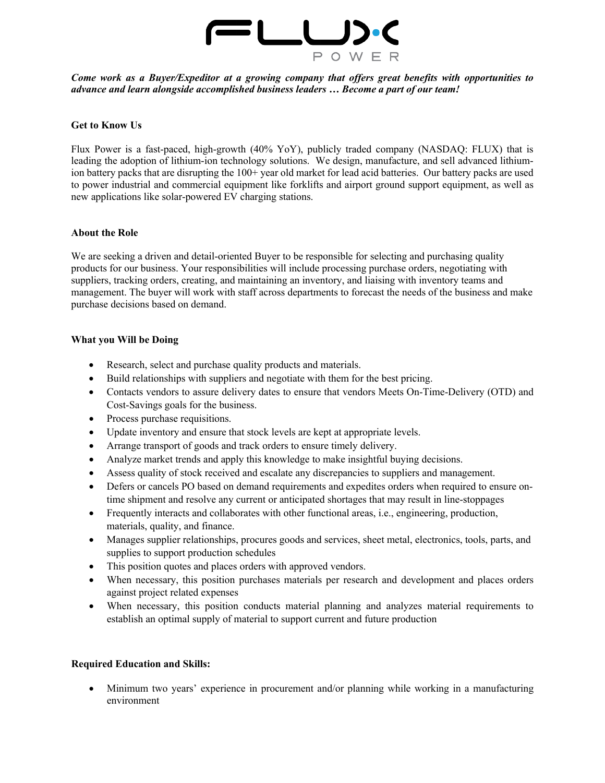

*Come work as a Buyer/Expeditor at a growing company that offers great benefits with opportunities to advance and learn alongside accomplished business leaders … Become a part of our team!* 

### **Get to Know Us**

Flux Power is a fast-paced, high-growth (40% YoY), publicly traded company (NASDAQ: FLUX) that is leading the adoption of lithium-ion technology solutions. We design, manufacture, and sell advanced lithiumion battery packs that are disrupting the 100+ year old market for lead acid batteries. Our battery packs are used to power industrial and commercial equipment like forklifts and airport ground support equipment, as well as new applications like solar-powered EV charging stations.

### **About the Role**

We are seeking a driven and detail-oriented Buyer to be responsible for selecting and purchasing quality products for our business. Your responsibilities will include processing purchase orders, negotiating with suppliers, tracking orders, creating, and maintaining an inventory, and liaising with inventory teams and management. The buyer will work with staff across departments to forecast the needs of the business and make purchase decisions based on demand.

### **What you Will be Doing**

- Research, select and purchase quality products and materials.
- Build relationships with suppliers and negotiate with them for the best pricing.
- Contacts vendors to assure delivery dates to ensure that vendors Meets On-Time-Delivery (OTD) and Cost-Savings goals for the business.
- Process purchase requisitions.
- Update inventory and ensure that stock levels are kept at appropriate levels.
- Arrange transport of goods and track orders to ensure timely delivery.
- Analyze market trends and apply this knowledge to make insightful buying decisions.
- Assess quality of stock received and escalate any discrepancies to suppliers and management.
- Defers or cancels PO based on demand requirements and expedites orders when required to ensure ontime shipment and resolve any current or anticipated shortages that may result in line-stoppages
- Frequently interacts and collaborates with other functional areas, i.e., engineering, production, materials, quality, and finance.
- Manages supplier relationships, procures goods and services, sheet metal, electronics, tools, parts, and supplies to support production schedules
- This position quotes and places orders with approved vendors.
- When necessary, this position purchases materials per research and development and places orders against project related expenses
- When necessary, this position conducts material planning and analyzes material requirements to establish an optimal supply of material to support current and future production

### **Required Education and Skills:**

• Minimum two years' experience in procurement and/or planning while working in a manufacturing environment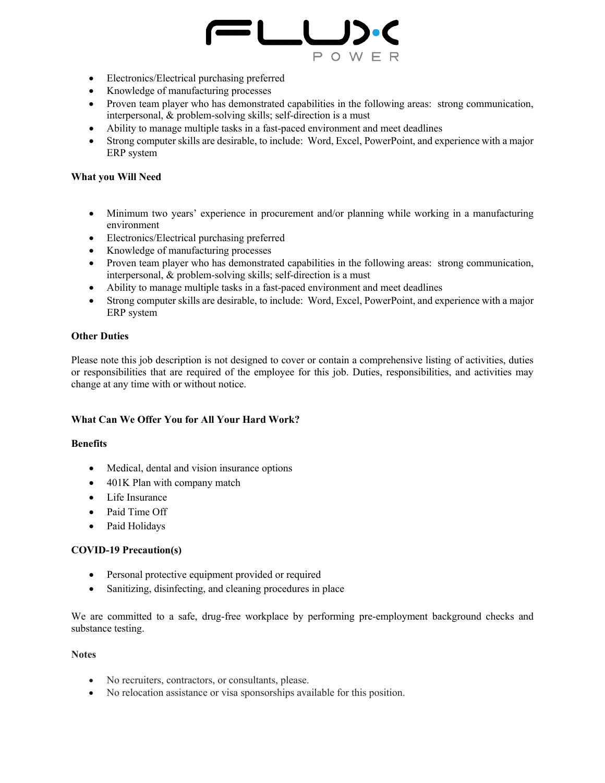

- Electronics/Electrical purchasing preferred
- Knowledge of manufacturing processes
- Proven team player who has demonstrated capabilities in the following areas: strong communication, interpersonal, & problem-solving skills; self-direction is a must
- Ability to manage multiple tasks in a fast-paced environment and meet deadlines
- Strong computer skills are desirable, to include: Word, Excel, PowerPoint, and experience with a major ERP system

## **What you Will Need**

- Minimum two years' experience in procurement and/or planning while working in a manufacturing environment
- Electronics/Electrical purchasing preferred
- Knowledge of manufacturing processes
- Proven team player who has demonstrated capabilities in the following areas: strong communication, interpersonal, & problem-solving skills; self-direction is a must
- Ability to manage multiple tasks in a fast-paced environment and meet deadlines
- Strong computer skills are desirable, to include: Word, Excel, PowerPoint, and experience with a major ERP system

### **Other Duties**

Please note this job description is not designed to cover or contain a comprehensive listing of activities, duties or responsibilities that are required of the employee for this job. Duties, responsibilities, and activities may change at any time with or without notice.

# **What Can We Offer You for All Your Hard Work?**

### **Benefits**

- Medical, dental and vision insurance options
- 401K Plan with company match
- Life Insurance
- Paid Time Off
- Paid Holidays

# **COVID-19 Precaution(s)**

- Personal protective equipment provided or required
- Sanitizing, disinfecting, and cleaning procedures in place

We are committed to a safe, drug-free workplace by performing pre-employment background checks and substance testing.

### **Notes**

- No recruiters, contractors, or consultants, please.
- No relocation assistance or visa sponsorships available for this position.